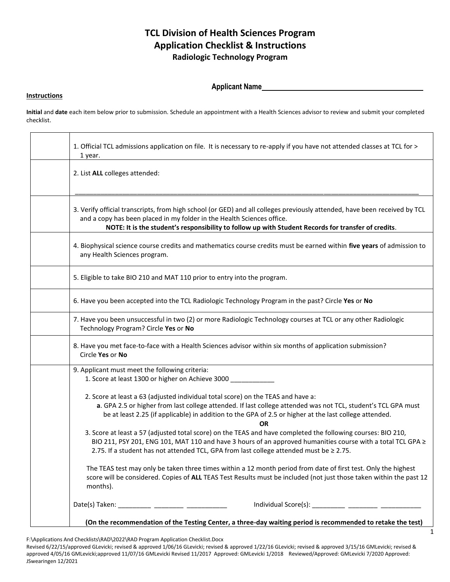# **TCL Division of Health Sciences Program Application Checklist & Instructions Radiologic Technology Program**

## **Applicant Name**

#### **Instructions**

**Initial** and **date** each item below prior to submission. Schedule an appointment with a Health Sciences advisor to review and submit your completed checklist.

| 1. Official TCL admissions application on file. It is necessary to re-apply if you have not attended classes at TCL for ><br>1 year.                                                                                                                                                                                     |  |
|--------------------------------------------------------------------------------------------------------------------------------------------------------------------------------------------------------------------------------------------------------------------------------------------------------------------------|--|
| 2. List ALL colleges attended:                                                                                                                                                                                                                                                                                           |  |
| 3. Verify official transcripts, from high school (or GED) and all colleges previously attended, have been received by TCL<br>and a copy has been placed in my folder in the Health Sciences office.<br>NOTE: It is the student's responsibility to follow up with Student Records for transfer of credits.               |  |
| 4. Biophysical science course credits and mathematics course credits must be earned within five years of admission to<br>any Health Sciences program.                                                                                                                                                                    |  |
| 5. Eligible to take BIO 210 and MAT 110 prior to entry into the program.                                                                                                                                                                                                                                                 |  |
| 6. Have you been accepted into the TCL Radiologic Technology Program in the past? Circle Yes or No                                                                                                                                                                                                                       |  |
| 7. Have you been unsuccessful in two (2) or more Radiologic Technology courses at TCL or any other Radiologic<br>Technology Program? Circle Yes or No                                                                                                                                                                    |  |
| 8. Have you met face-to-face with a Health Sciences advisor within six months of application submission?<br>Circle Yes or No                                                                                                                                                                                             |  |
| 9. Applicant must meet the following criteria:<br>1. Score at least 1300 or higher on Achieve 3000                                                                                                                                                                                                                       |  |
| 2. Score at least a 63 (adjusted individual total score) on the TEAS and have a:<br>a. GPA 2.5 or higher from last college attended. If last college attended was not TCL, student's TCL GPA must<br>be at least 2.25 (if applicable) in addition to the GPA of 2.5 or higher at the last college attended.<br><b>OR</b> |  |
| 3. Score at least a 57 (adjusted total score) on the TEAS and have completed the following courses: BIO 210,<br>BIO 211, PSY 201, ENG 101, MAT 110 and have 3 hours of an approved humanities course with a total TCL GPA ≥<br>2.75. If a student has not attended TCL, GPA from last college attended must be ≥ 2.75.   |  |
| The TEAS test may only be taken three times within a 12 month period from date of first test. Only the highest<br>score will be considered. Copies of ALL TEAS Test Results must be included (not just those taken within the past 12<br>months).                                                                        |  |
| Individual Score(s): __________ _________ __________                                                                                                                                                                                                                                                                     |  |
| (On the recommendation of the Testing Center, a three-day waiting period is recommended to retake the test)                                                                                                                                                                                                              |  |

F:\Applications And Checklists\RAD\2022\RAD Program Application Checklist.Docx

Revised 6/22/15/approved GLevicki; revised & approved 1/06/16 GLevicki; revised & approved 1/22/16 GLevicki; revised & approved 3/15/16 GMLevicki; revised & approved 4/05/16 GMLevicki;approved 11/07/16 GMLevicki Revised 11/2017 Approved: GMLevicki 1/2018 Reviewed/Approved: GMLevicki 7/2020 Approved: JSwearingen 12/2021